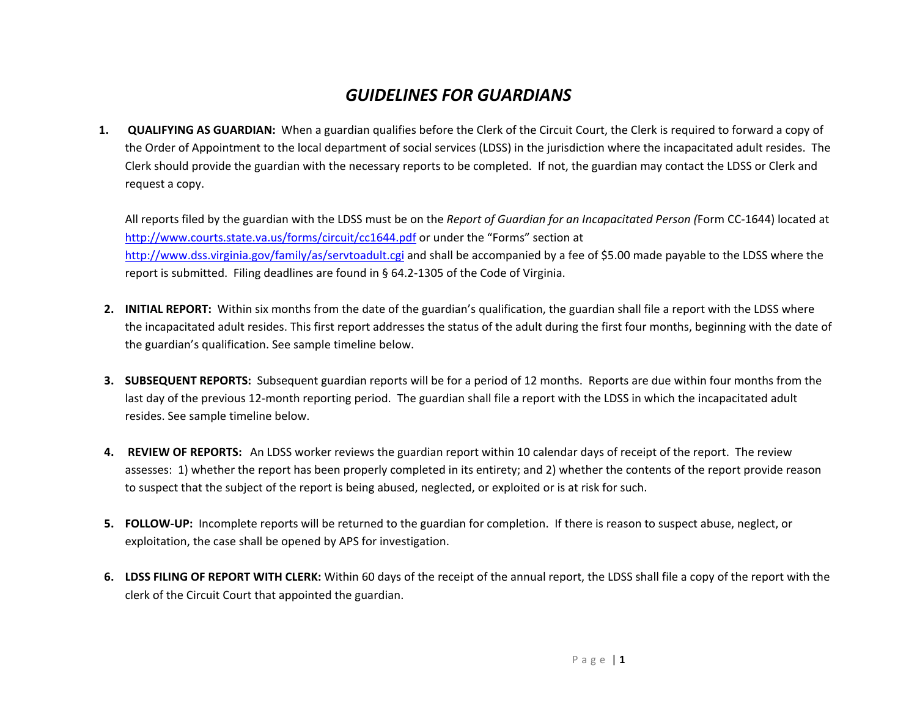## *GUIDELINES FOR GUARDIANS*

**1. QUALIFYING AS GUARDIAN:** When <sup>a</sup> guardian qualifies before the Clerk of the Circuit Court, the Clerk is required to forward <sup>a</sup> copy of the Order of Appointment to the local department of social services (LDSS) in the jurisdiction where the incapacitated adult resides. The Clerk should provide the guardian with the necessary reports to be completed. If not, the guardian may contact the LDSS or Clerk and request <sup>a</sup> copy.

All reports filed by the guardian with the LDSS must be on the *Report of Guardian for an Incapacitated Person (*Form CC‐1644) located at http://www.courts.state.va.us/forms/circuit/cc1644.pdf or under the "Forms" section at http://www.dss.virginia.gov/family/as/servtoadult.cgi and shall be accompanied by <sup>a</sup> fee of \$5.00 made payable to the LDSS where the report is submitted. Filing deadlines are found in § 64.2‐1305 of the Code of Virginia.

- **2. INITIAL REPORT:** Within six months from the date of the guardian's qualification, the guardian shall file <sup>a</sup> report with the LDSS where the incapacitated adult resides. This first report addresses the status of the adult during the first four months, beginning with the date of the guardian's qualification. See sample timeline below.
- **3. SUBSEQUENT REPORTS:** Subsequent guardian reports will be for <sup>a</sup> period of 12 months. Reports are due within four months from the last day of the previous 12‐month reporting period. The guardian shall file <sup>a</sup> report with the LDSS in which the incapacitated adult resides. See sample timeline below.
- **4. REVIEW OF REPORTS:** An LDSS worker reviews the guardian report within 10 calendar days of receipt of the report. The review assesses: 1) whether the report has been properly completed in its entirety; and 2) whether the contents of the report provide reason to suspect that the subject of the report is being abused, neglected, or exploited or is at risk for such.
- **5. FOLLOW‐UP:** Incomplete reports will be returned to the guardian for completion. If there is reason to suspect abuse, neglect, or exploitation, the case shall be opened by APS for investigation.
- **6. LDSS FILING OF REPORT WITH CLERK:** Within 60 days of the receipt of the annual report, the LDSS shall file <sup>a</sup> copy of the report with the clerk of the Circuit Court that appointed the guardian.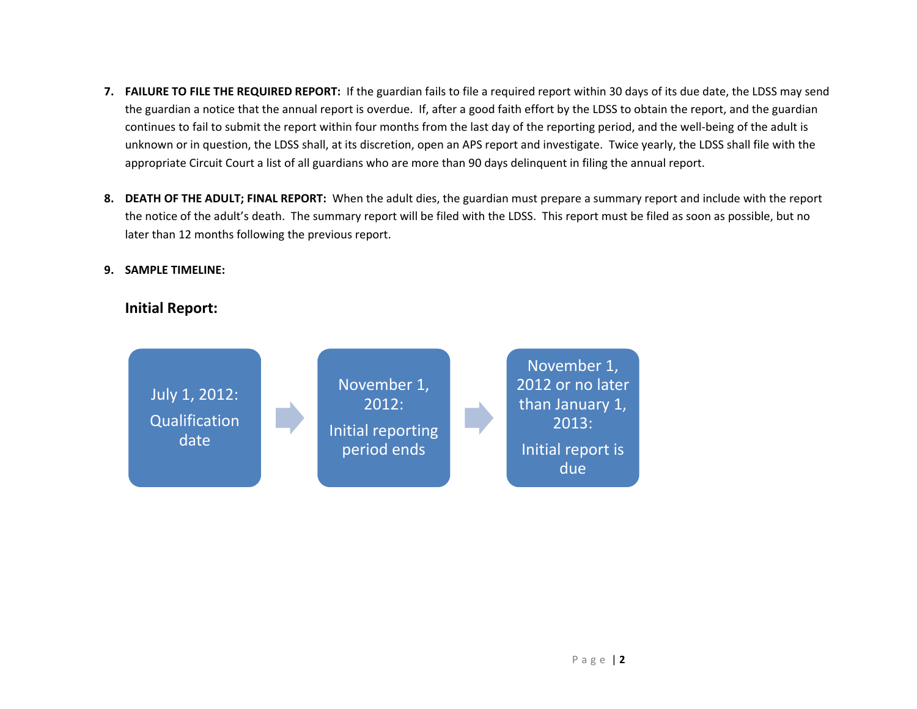- **7. FAILURE TO FILE THE REQUIRED REPORT:** If the guardian fails to file <sup>a</sup> required report within 30 days of its due date, the LDSS may send the guardian <sup>a</sup> notice that the annual report is overdue. If, after <sup>a</sup> good faith effort by the LDSS to obtain the report, and the guardian continues to fail to submit the report within four months from the last day of the reporting period, and the well‐being of the adult is unknown or in question, the LDSS shall, at its discretion, open an APS report and investigate. Twice yearly, the LDSS shall file with the appropriate Circuit Court <sup>a</sup> list of all guardians who are more than 90 days delinquent in filing the annual report.
- **8. DEATH OF THE ADULT; FINAL REPORT:** When the adult dies, the guardian must prepare <sup>a</sup> summary report and include with the report the notice of the adult's death. The summary report will be filed with the LDSS. This report must be filed as soon as possible, but no later than 12 months following the previous report.

## **9. SAMPLE TIMELINE:**

## **Initial Report:**